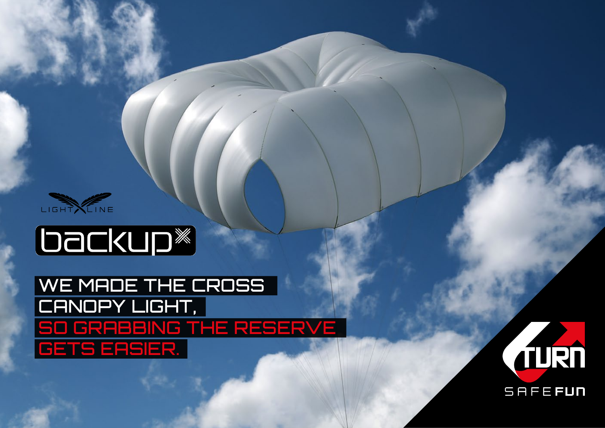

# **Dackup**

## WE MADE THE CROSS CANOPY LIGHT, so grabbing the reserve gets easier.

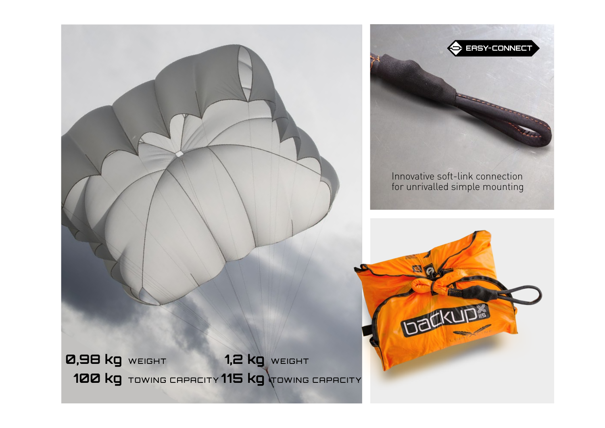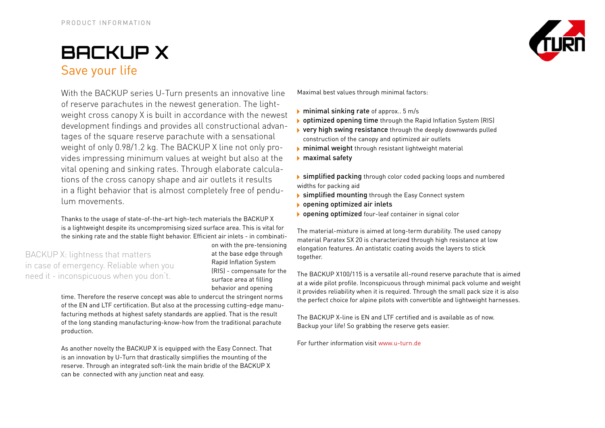### **BACKUp X** Save your life

With the BACKUP series U-Turn presents an innovative line of reserve parachutes in the newest generation. The lightweight cross canopy X is built in accordance with the newest development findings and provides all constructional advantages of the square reserve parachute with a sensational weight of only 0.98/1.2 kg. The BACKUP X line not only provides impressing minimum values at weight but also at the vital opening and sinking rates. Through elaborate calculations of the cross canopy shape and air outlets it results in a flight behavior that is almost completely free of pendulum movements.

Thanks to the usage of state-of-the-art high-tech materials the BACKUP X is a lightweight despite its uncompromising sized surface area. This is vital for the sinking rate and the stable flight behavior. Efficient air inlets - in combinati-

BACKUP X: lightness that matters in case of emergency. Reliable when you need it - inconspicuous when you don't.

on with the pre-tensioning at the base edge through Rapid Inflation System (RIS) - compensate for the surface area at filling behavior and opening

time. Therefore the reserve concept was able to undercut the stringent norms of the EN and LTF certification. But also at the processing cutting-edge manufacturing methods at highest safety standards are applied. That is the result of the long standing manufacturing-know-how from the traditional parachute production.

As another novelty the BACKUP X is equipped with the Easy Connect. That is an innovation by U-Turn that drastically simplifies the mounting of the reserve. Through an integrated soft-link the main bridle of the BACKUP X can be connected with any junction neat and easy.



Maximal best values through minimal factors:

- $\triangleright$  minimal sinking rate of approx.. 5 m/s
- ▶ optimized opening time through the Rapid Inflation System (RIS)
- very high swing resistance through the deeply downwards pulled construction of the canopy and optimized air outlets
- minimal weight through resistant lightweight material
- maximal safety

 simplified packing through color coded packing loops and numbered widths for packing aid

- **Simplified mounting** through the Easy Connect system
- ▶ opening optimized air inlets
- opening optimized four-leaf container in signal color

The material-mixture is aimed at long-term durability. The used canopy material Paratex SX 20 is characterized through high resistance at low elongation features. An antistatic coating avoids the layers to stick together.

The BACKUP X100/115 is a versatile all-round reserve parachute that is aimed at a wide pilot profile. Inconspicuous through minimal pack volume and weight it provides reliability when it is required. Through the small pack size it is also the perfect choice for alpine pilots with convertible and lightweight harnesses.

The BACKUP X-line is EN and LTF certified and is available as of now. Backup your life! So grabbing the reserve gets easier.

For further information visit www.u-turn.de